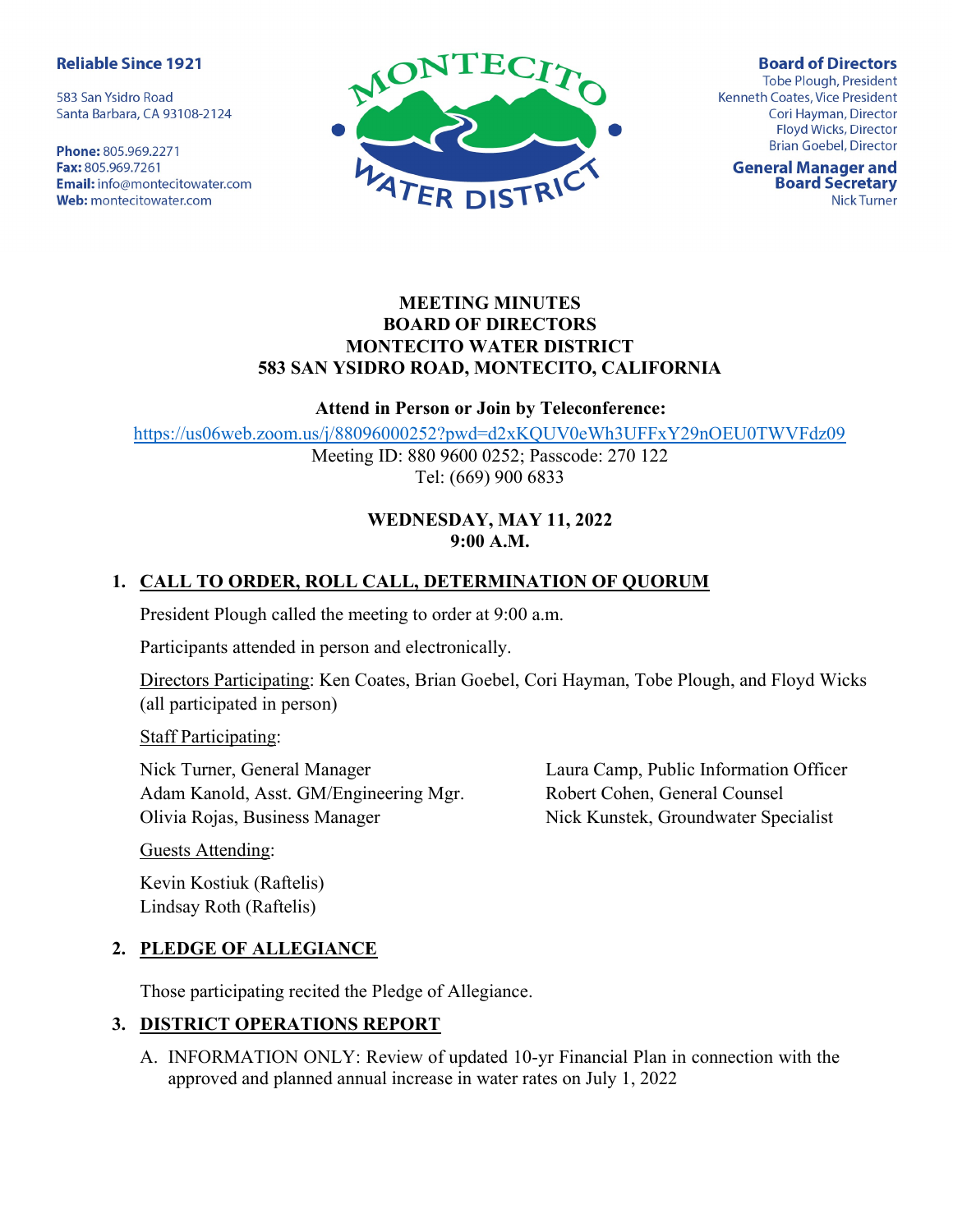#### **Reliable Since 1921**

583 San Ysidro Road Santa Barbara, CA 93108-2124

Phone: 805.969.2271 Fax: 805.969.7261 **Email:** info@montecitowater.com Web: montecitowater.com



**Board of Directors** Tobe Plough, President Kenneth Coates, Vice President Cori Hayman, Director Floyd Wicks, Director **Brian Goebel, Director** 

**General Manager and Board Secretary Nick Turner** 

### MEETING MINUTES BOARD OF DIRECTORS MONTECITO WATER DISTRICT 583 SAN YSIDRO ROAD, MONTECITO, CALIFORNIA

#### Attend in Person or Join by Teleconference:

https://us06web.zoom.us/j/88096000252?pwd=d2xKQUV0eWh3UFFxY29nOEU0TWVFdz09

Meeting ID: 880 9600 0252; Passcode: 270 122 Tel: (669) 900 6833

## WEDNESDAY, MAY 11, 2022 9:00 A.M.

# 1. CALL TO ORDER, ROLL CALL, DETERMINATION OF QUORUM

President Plough called the meeting to order at 9:00 a.m.

Participants attended in person and electronically.

Directors Participating: Ken Coates, Brian Goebel, Cori Hayman, Tobe Plough, and Floyd Wicks (all participated in person)

Staff Participating:

Nick Turner, General Manager Adam Kanold, Asst. GM/Engineering Mgr. Olivia Rojas, Business Manager

Laura Camp, Public Information Officer Robert Cohen, General Counsel Nick Kunstek, Groundwater Specialist

Guests Attending:

Kevin Kostiuk (Raftelis) Lindsay Roth (Raftelis)

# 2. PLEDGE OF ALLEGIANCE

Those participating recited the Pledge of Allegiance.

## 3. DISTRICT OPERATIONS REPORT

A. INFORMATION ONLY: Review of updated 10-yr Financial Plan in connection with the approved and planned annual increase in water rates on July 1, 2022